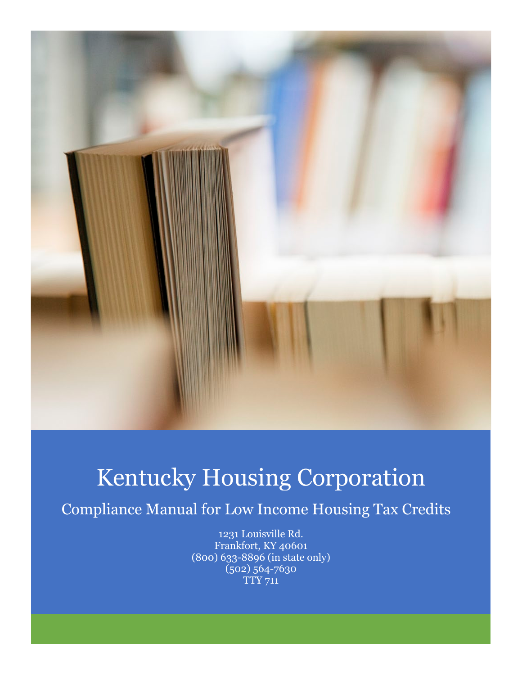

# Kentucky Housing Corporation

Compliance Manual for Low Income Housing Tax Credits

1231 Louisville Rd. Frankfort, KY 40601 (800) 633-8896 (in state only) (502) 564-7630 TTY 711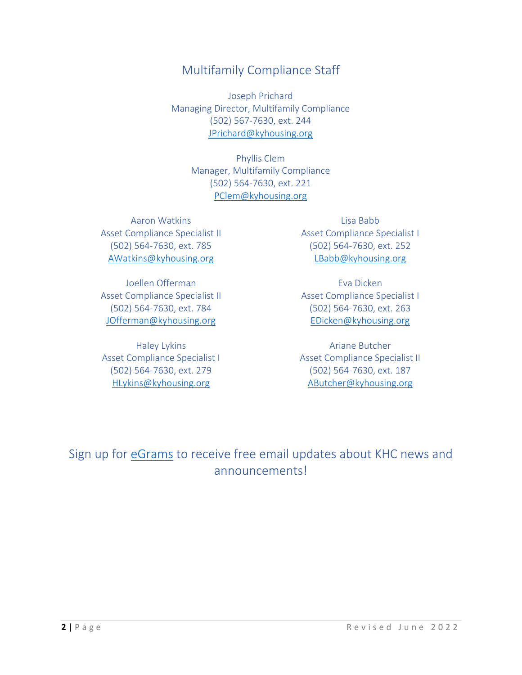## Multifamily Compliance Staff

Joseph Prichard Managing Director, Multifamily Compliance (502) 567-7630, ext. 244 [JPrichard@kyhousing.org](mailto:JPrichard@kyhousing.org)

> Phyllis Clem Manager, Multifamily Compliance (502) 564-7630, ext. 221 [PClem@kyhousing.org](mailto:PClem@kyhousing.org)

Aaron Watkins Asset Compliance Specialist II (502) 564-7630, ext. 785 [AWatkins@kyhousing.org](mailto:AWatkins@kyhousing.org)

Joellen Offerman Asset Compliance Specialist II (502) 564-7630, ext. 784 [JOfferman@kyhousing.org](mailto:JOfferman@kyhousing.org)

Haley Lykins Asset Compliance Specialist I (502) 564-7630, ext. 279 [HLykins@kyhousing.org](mailto:HLykins@kyhousing.org)

Lisa Babb Asset Compliance Specialist I (502) 564-7630, ext. 252 [LBabb@kyhousing.org](mailto:LBabb@kyhousing.org)

Eva Dicken Asset Compliance Specialist I (502) 564-7630, ext. 263 [EDicken@kyhousing.org](mailto:EDicken@kyhousing.org)

Ariane Butcher Asset Compliance Specialist II (502) 564-7630, ext. 187 [AButcher@kyhousing.org](mailto:AButcher@kyhousing.org)

Sign up for [eGrams](https://www.kyhousing.org/News-Events/eGrams/Pages/default.aspx) to receive free email updates about KHC news and announcements!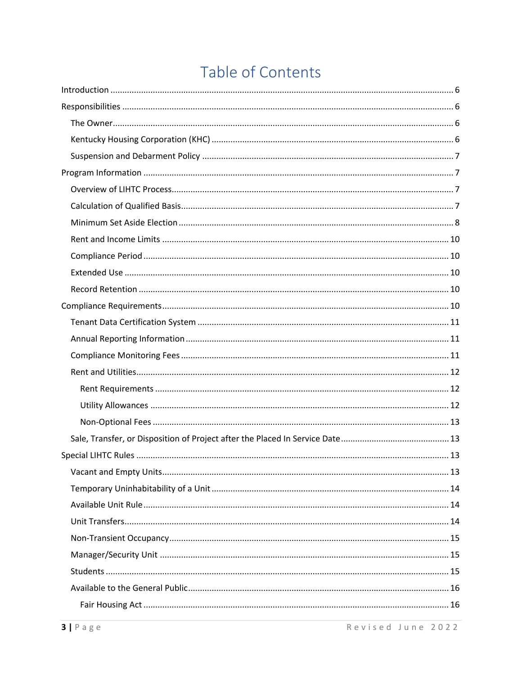## Table of Contents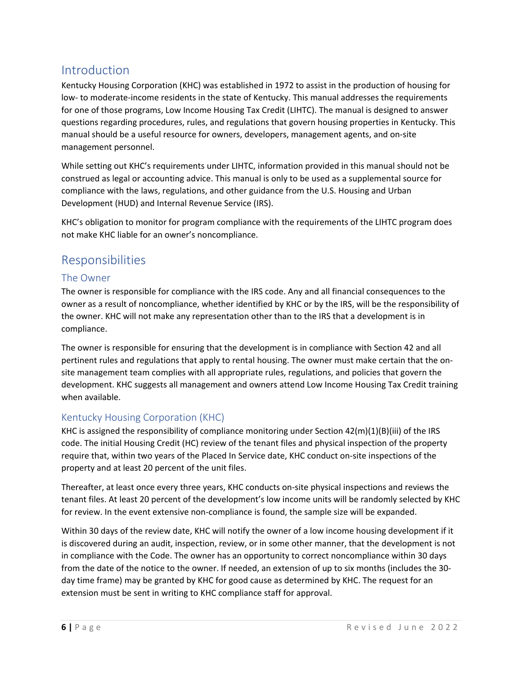## <span id="page-5-0"></span>Introduction

Kentucky Housing Corporation (KHC) was established in 1972 to assist in the production of housing for low- to moderate-income residents in the state of Kentucky. This manual addresses the requirements for one of those programs, Low Income Housing Tax Credit (LIHTC). The manual is designed to answer questions regarding procedures, rules, and regulations that govern housing properties in Kentucky. This manual should be a useful resource for owners, developers, management agents, and on-site management personnel.

While setting out KHC's requirements under LIHTC, information provided in this manual should not be construed as legal or accounting advice. This manual is only to be used as a supplemental source for compliance with the laws, regulations, and other guidance from the U.S. Housing and Urban Development (HUD) and Internal Revenue Service (IRS).

KHC's obligation to monitor for program compliance with the requirements of the LIHTC program does not make KHC liable for an owner's noncompliance.

## <span id="page-5-1"></span>Responsibilities

#### <span id="page-5-2"></span>The Owner

The owner is responsible for compliance with the IRS code. Any and all financial consequences to the owner as a result of noncompliance, whether identified by KHC or by the IRS, will be the responsibility of the owner. KHC will not make any representation other than to the IRS that a development is in compliance.

The owner is responsible for ensuring that the development is in compliance with Section 42 and all pertinent rules and regulations that apply to rental housing. The owner must make certain that the onsite management team complies with all appropriate rules, regulations, and policies that govern the development. KHC suggests all management and owners attend Low Income Housing Tax Credit training when available.

#### <span id="page-5-3"></span>Kentucky Housing Corporation (KHC)

KHC is assigned the responsibility of compliance monitoring under Section  $42(m)(1)(B)(iii)$  of the IRS code. The initial Housing Credit (HC) review of the tenant files and physical inspection of the property require that, within two years of the Placed In Service date, KHC conduct on-site inspections of the property and at least 20 percent of the unit files.

Thereafter, at least once every three years, KHC conducts on-site physical inspections and reviews the tenant files. At least 20 percent of the development's low income units will be randomly selected by KHC for review. In the event extensive non-compliance is found, the sample size will be expanded.

Within 30 days of the review date, KHC will notify the owner of a low income housing development if it is discovered during an audit, inspection, review, or in some other manner, that the development is not in compliance with the Code. The owner has an opportunity to correct noncompliance within 30 days from the date of the notice to the owner. If needed, an extension of up to six months (includes the 30 day time frame) may be granted by KHC for good cause as determined by KHC. The request for an extension must be sent in writing to KHC compliance staff for approval.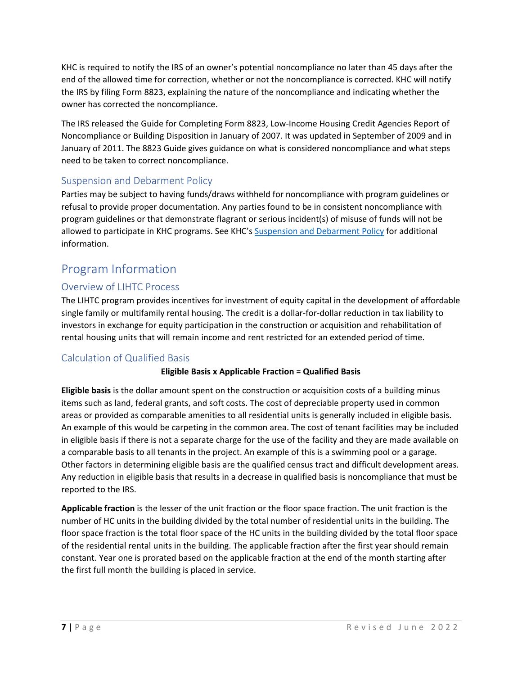KHC is required to notify the IRS of an owner's potential noncompliance no later than 45 days after the end of the allowed time for correction, whether or not the noncompliance is corrected. KHC will notify the IRS by filing Form 8823, explaining the nature of the noncompliance and indicating whether the owner has corrected the noncompliance.

The IRS released the Guide for Completing Form 8823, Low-Income Housing Credit Agencies Report of Noncompliance or Building Disposition in January of 2007. It was updated in September of 2009 and in January of 2011. The 8823 Guide gives guidance on what is considered noncompliance and what steps need to be taken to correct noncompliance.

#### <span id="page-6-0"></span>Suspension and Debarment Policy

Parties may be subject to having funds/draws withheld for noncompliance with program guidelines or refusal to provide proper documentation. Any parties found to be in consistent noncompliance with program guidelines or that demonstrate flagrant or serious incident(s) of misuse of funds will not be allowed to participate in KHC programs. See KHC's [Suspension and Debarment Policy](https://www.kyhousing.org/Legal/Pages/Suspension-and-Debarment-Policy.aspx) for additional information.

## <span id="page-6-1"></span>Program Information

#### <span id="page-6-2"></span>Overview of LIHTC Process

The LIHTC program provides incentives for investment of equity capital in the development of affordable single family or multifamily rental housing. The credit is a dollar-for-dollar reduction in tax liability to investors in exchange for equity participation in the construction or acquisition and rehabilitation of rental housing units that will remain income and rent restricted for an extended period of time.

#### <span id="page-6-3"></span>Calculation of Qualified Basis

#### **Eligible Basis x Applicable Fraction = Qualified Basis**

**Eligible basis** is the dollar amount spent on the construction or acquisition costs of a building minus items such as land, federal grants, and soft costs. The cost of depreciable property used in common areas or provided as comparable amenities to all residential units is generally included in eligible basis. An example of this would be carpeting in the common area. The cost of tenant facilities may be included in eligible basis if there is not a separate charge for the use of the facility and they are made available on a comparable basis to all tenants in the project. An example of this is a swimming pool or a garage. Other factors in determining eligible basis are the qualified census tract and difficult development areas. Any reduction in eligible basis that results in a decrease in qualified basis is noncompliance that must be reported to the IRS.

**Applicable fraction** is the lesser of the unit fraction or the floor space fraction. The unit fraction is the number of HC units in the building divided by the total number of residential units in the building. The floor space fraction is the total floor space of the HC units in the building divided by the total floor space of the residential rental units in the building. The applicable fraction after the first year should remain constant. Year one is prorated based on the applicable fraction at the end of the month starting after the first full month the building is placed in service.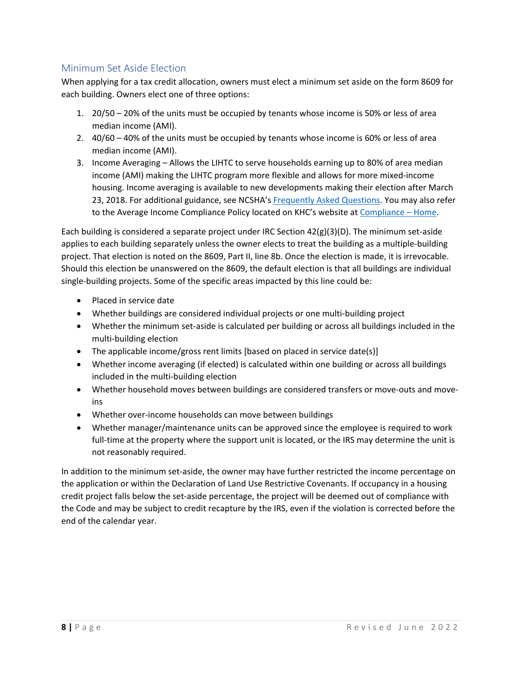#### <span id="page-7-0"></span>Minimum Set Aside Election

When applying for a tax credit allocation, owners must elect a minimum set aside on the form 8609 for each building. Owners elect one of three options:

- 1. 20/50 20% of the units must be occupied by tenants whose income is 50% or less of area median income (AMI).
- 2. 40/60 40% of the units must be occupied by tenants whose income is 60% or less of area median income (AMI).
- 3. Income Averaging Allows the LIHTC to serve households earning up to 80% of area median income (AMI) making the LIHTC program more flexible and allows for more mixed-income housing. Income averaging is available to new developments making their election after March 23, 2018. For additional guidance, see NCSHA'[s Frequently Asked Questions.](https://www.housingonline.com/wp-content/uploads/2018/04/04092018-NCSHA-Income-Averaging-QA.pdf) You may also refer to the Average Income Compliance Policy located on KHC's website at Compliance - Home.

Each building is considered a separate project under IRC Section  $42(g)(3)(D)$ . The minimum set-aside applies to each building separately unless the owner elects to treat the building as a multiple-building project. That election is noted on the 8609, Part II, line 8b. Once the election is made, it is irrevocable. Should this election be unanswered on the 8609, the default election is that all buildings are individual single-building projects. Some of the specific areas impacted by this line could be:

- Placed in service date
- Whether buildings are considered individual projects or one multi-building project
- Whether the minimum set-aside is calculated per building or across all buildings included in the multi-building election
- The applicable income/gross rent limits [based on placed in service date(s)]
- Whether income averaging (if elected) is calculated within one building or across all buildings included in the multi-building election
- Whether household moves between buildings are considered transfers or move-outs and moveins
- Whether over-income households can move between buildings
- Whether manager/maintenance units can be approved since the employee is required to work full-time at the property where the support unit is located, or the IRS may determine the unit is not reasonably required.

In addition to the minimum set-aside, the owner may have further restricted the income percentage on the application or within the Declaration of Land Use Restrictive Covenants. If occupancy in a housing credit project falls below the set-aside percentage, the project will be deemed out of compliance with the Code and may be subject to credit recapture by the IRS, even if the violation is corrected before the end of the calendar year.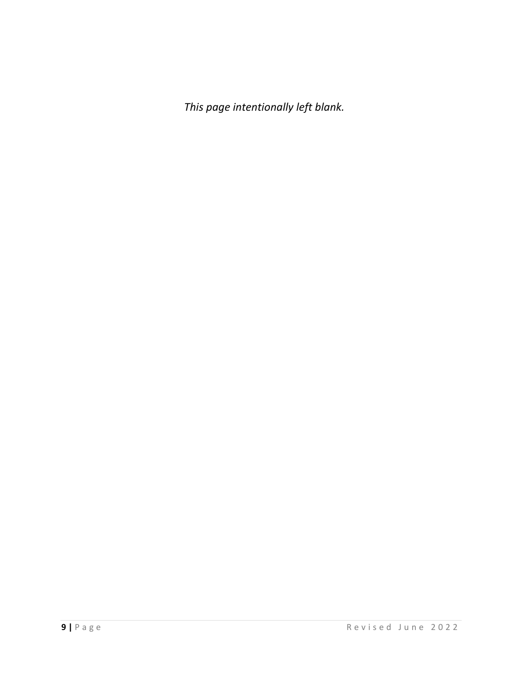*This page intentionally left blank.*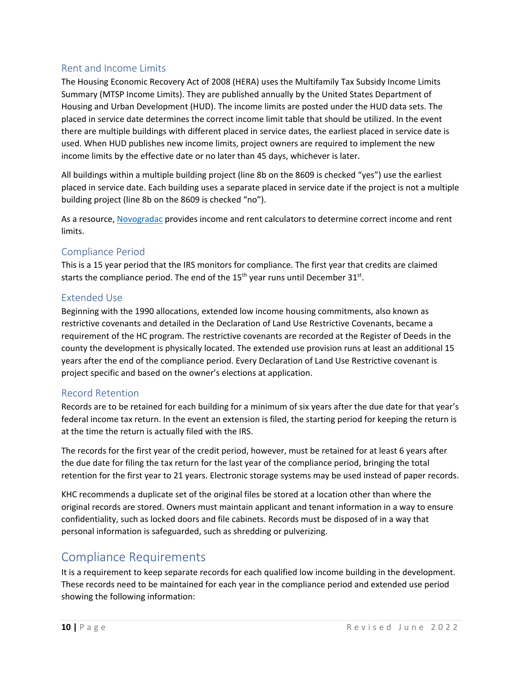#### <span id="page-9-0"></span>Rent and Income Limits

The Housing Economic Recovery Act of 2008 (HERA) uses the Multifamily Tax Subsidy Income Limits Summary (MTSP Income Limits). They are published annually by the United States Department of Housing and Urban Development (HUD). The income limits are posted under the HUD data sets. The placed in service date determines the correct income limit table that should be utilized. In the event there are multiple buildings with different placed in service dates, the earliest placed in service date is used. When HUD publishes new income limits, project owners are required to implement the new income limits by the effective date or no later than 45 days, whichever is later.

All buildings within a multiple building project (line 8b on the 8609 is checked "yes") use the earliest placed in service date. Each building uses a separate placed in service date if the project is not a multiple building project (line 8b on the 8609 is checked "no").

As a resource, [Novogradac](https://www.novoco.com/resource-centers/affordable-housing-tax-credits/rent-income-limit-calculator) provides income and rent calculators to determine correct income and rent limits.

#### <span id="page-9-1"></span>Compliance Period

This is a 15 year period that the IRS monitors for compliance. The first year that credits are claimed starts the compliance period. The end of the  $15<sup>th</sup>$  year runs until December  $31<sup>st</sup>$ .

#### <span id="page-9-2"></span>Extended Use

Beginning with the 1990 allocations, extended low income housing commitments, also known as restrictive covenants and detailed in the Declaration of Land Use Restrictive Covenants, became a requirement of the HC program. The restrictive covenants are recorded at the Register of Deeds in the county the development is physically located. The extended use provision runs at least an additional 15 years after the end of the compliance period. Every Declaration of Land Use Restrictive covenant is project specific and based on the owner's elections at application.

#### <span id="page-9-3"></span>Record Retention

Records are to be retained for each building for a minimum of six years after the due date for that year's federal income tax return. In the event an extension is filed, the starting period for keeping the return is at the time the return is actually filed with the IRS.

The records for the first year of the credit period, however, must be retained for at least 6 years after the due date for filing the tax return for the last year of the compliance period, bringing the total retention for the first year to 21 years. Electronic storage systems may be used instead of paper records.

KHC recommends a duplicate set of the original files be stored at a location other than where the original records are stored. Owners must maintain applicant and tenant information in a way to ensure confidentiality, such as locked doors and file cabinets. Records must be disposed of in a way that personal information is safeguarded, such as shredding or pulverizing.

## <span id="page-9-4"></span>Compliance Requirements

It is a requirement to keep separate records for each qualified low income building in the development. These records need to be maintained for each year in the compliance period and extended use period showing the following information: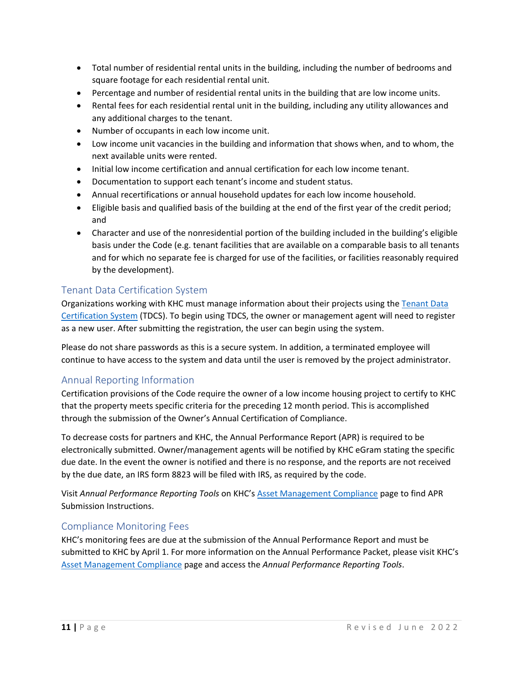- Total number of residential rental units in the building, including the number of bedrooms and square footage for each residential rental unit.
- Percentage and number of residential rental units in the building that are low income units.
- Rental fees for each residential rental unit in the building, including any utility allowances and any additional charges to the tenant.
- Number of occupants in each low income unit.
- Low income unit vacancies in the building and information that shows when, and to whom, the next available units were rented.
- Initial low income certification and annual certification for each low income tenant.
- Documentation to support each tenant's income and student status.
- Annual recertifications or annual household updates for each low income household.
- Eligible basis and qualified basis of the building at the end of the first year of the credit period; and
- Character and use of the nonresidential portion of the building included in the building's eligible basis under the Code (e.g. tenant facilities that are available on a comparable basis to all tenants and for which no separate fee is charged for use of the facilities, or facilities reasonably required by the development).

#### <span id="page-10-0"></span>Tenant Data Certification System

Organizations working with KHC must manage information about their projects using the [Tenant Data](https://wapps.kyhousing.org/TDCS/Default.aspx)  [Certification System](https://wapps.kyhousing.org/TDCS/Default.aspx) (TDCS). To begin using TDCS, the owner or management agent will need to register as a new user. After submitting the registration, the user can begin using the system.

Please do not share passwords as this is a secure system. In addition, a terminated employee will continue to have access to the system and data until the user is removed by the project administrator.

#### <span id="page-10-1"></span>Annual Reporting Information

Certification provisions of the Code require the owner of a low income housing project to certify to KHC that the property meets specific criteria for the preceding 12 month period. This is accomplished through the submission of the Owner's Annual Certification of Compliance.

To decrease costs for partners and KHC, the Annual Performance Report (APR) is required to be electronically submitted. Owner/management agents will be notified by KHC eGram stating the specific due date. In the event the owner is notified and there is no response, and the reports are not received by the due date, an IRS form 8823 will be filed with IRS, as required by the code.

Visit *Annual Performance Reporting Tools* on KHC's [Asset Management Compliance](https://www.kyhousing.org/Partners/Inspections-and-Compliance/Compliance/Pages/default.aspx) page to find APR Submission Instructions.

#### <span id="page-10-2"></span>Compliance Monitoring Fees

KHC's monitoring fees are due at the submission of the Annual Performance Report and must be submitted to KHC by April 1. For more information on the Annual Performance Packet, please visit KHC's Asset [Management Compliance](https://www.kyhousing.org/Partners/Inspections-and-Compliance/Compliance/Pages/default.aspx) page and access the *Annual Performance Reporting Tools*.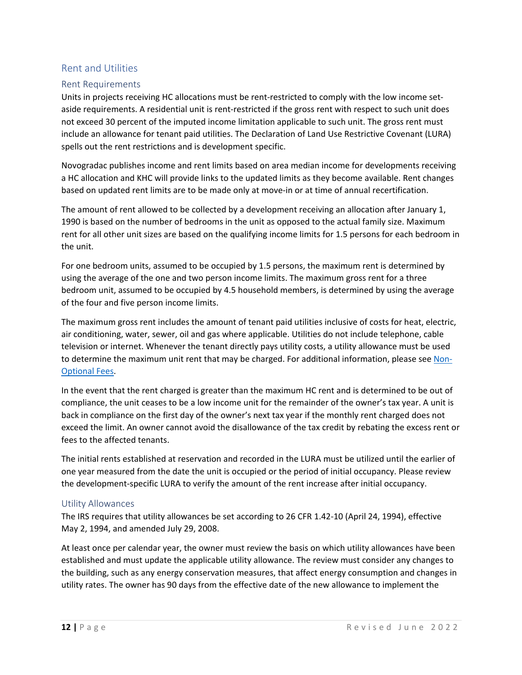#### <span id="page-11-0"></span>Rent and Utilities

#### <span id="page-11-1"></span>Rent Requirements

Units in projects receiving HC allocations must be rent-restricted to comply with the low income setaside requirements. A residential unit is rent-restricted if the gross rent with respect to such unit does not exceed 30 percent of the imputed income limitation applicable to such unit. The gross rent must include an allowance for tenant paid utilities. The Declaration of Land Use Restrictive Covenant (LURA) spells out the rent restrictions and is development specific.

Novogradac publishes income and rent limits based on area median income for developments receiving a HC allocation and KHC will provide links to the updated limits as they become available. Rent changes based on updated rent limits are to be made only at move-in or at time of annual recertification.

The amount of rent allowed to be collected by a development receiving an allocation after January 1, 1990 is based on the number of bedrooms in the unit as opposed to the actual family size. Maximum rent for all other unit sizes are based on the qualifying income limits for 1.5 persons for each bedroom in the unit.

For one bedroom units, assumed to be occupied by 1.5 persons, the maximum rent is determined by using the average of the one and two person income limits. The maximum gross rent for a three bedroom unit, assumed to be occupied by 4.5 household members, is determined by using the average of the four and five person income limits.

The maximum gross rent includes the amount of tenant paid utilities inclusive of costs for heat, electric, air conditioning, water, sewer, oil and gas where applicable. Utilities do not include telephone, cable television or internet. Whenever the tenant directly pays utility costs, a utility allowance must be used to determine the maximum unit rent that may be charged. For additional information, please see [Non-](#page-12-0)[Optional Fees.](#page-12-0)

In the event that the rent charged is greater than the maximum HC rent and is determined to be out of compliance, the unit ceases to be a low income unit for the remainder of the owner's tax year. A unit is back in compliance on the first day of the owner's next tax year if the monthly rent charged does not exceed the limit. An owner cannot avoid the disallowance of the tax credit by rebating the excess rent or fees to the affected tenants.

The initial rents established at reservation and recorded in the LURA must be utilized until the earlier of one year measured from the date the unit is occupied or the period of initial occupancy. Please review the development-specific LURA to verify the amount of the rent increase after initial occupancy.

#### <span id="page-11-2"></span>Utility Allowances

The IRS requires that utility allowances be set according to 26 CFR 1.42-10 (April 24, 1994), effective May 2, 1994, and amended July 29, 2008.

At least once per calendar year, the owner must review the basis on which utility allowances have been established and must update the applicable utility allowance. The review must consider any changes to the building, such as any energy conservation measures, that affect energy consumption and changes in utility rates. The owner has 90 days from the effective date of the new allowance to implement the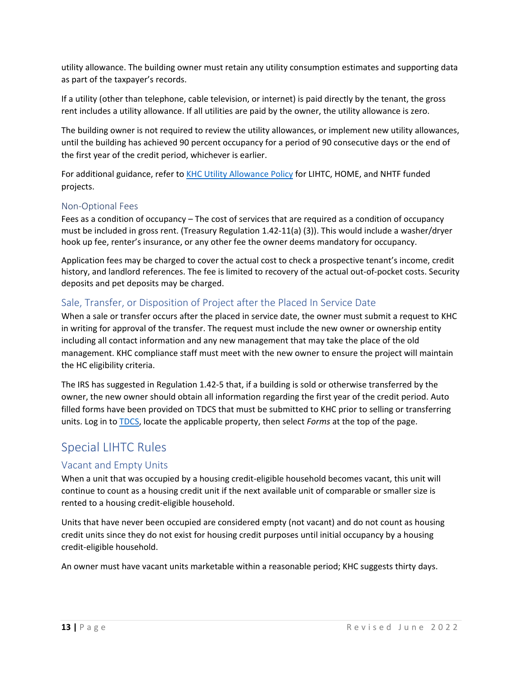utility allowance. The building owner must retain any utility consumption estimates and supporting data as part of the taxpayer's records.

If a utility (other than telephone, cable television, or internet) is paid directly by the tenant, the gross rent includes a utility allowance. If all utilities are paid by the owner, the utility allowance is zero.

The building owner is not required to review the utility allowances, or implement new utility allowances, until the building has achieved 90 percent occupancy for a period of 90 consecutive days or the end of the first year of the credit period, whichever is earlier.

For additional guidance, refer t[o KHC Utility Allowance Policy](https://www.kyhousing.org/Partners/Inspections-and-Compliance/Compliance/Documents/Utility%20Allowance%20Policy.pdf) for LIHTC, HOME, and NHTF funded projects.

#### <span id="page-12-0"></span>Non-Optional Fees

Fees as a condition of occupancy – The cost of services that are required as a condition of occupancy must be included in gross rent. (Treasury Regulation 1.42-11(a) (3)). This would include a washer/dryer hook up fee, renter's insurance, or any other fee the owner deems mandatory for occupancy.

Application fees may be charged to cover the actual cost to check a prospective tenant's income, credit history, and landlord references. The fee is limited to recovery of the actual out-of-pocket costs. Security deposits and pet deposits may be charged.

#### <span id="page-12-1"></span>Sale, Transfer, or Disposition of Project after the Placed In Service Date

When a sale or transfer occurs after the placed in service date, the owner must submit a request to KHC in writing for approval of the transfer. The request must include the new owner or ownership entity including all contact information and any new management that may take the place of the old management. KHC compliance staff must meet with the new owner to ensure the project will maintain the HC eligibility criteria.

The IRS has suggested in Regulation 1.42-5 that, if a building is sold or otherwise transferred by the owner, the new owner should obtain all information regarding the first year of the credit period. Auto filled forms have been provided on TDCS that must be submitted to KHC prior to selling or transferring units. Log in to [TDCS,](https://wapps.kyhousing.org/TDCS/Default.aspx) locate the applicable property, then select *Forms* at the top of the page.

## <span id="page-12-2"></span>Special LIHTC Rules

#### <span id="page-12-3"></span>Vacant and Empty Units

When a unit that was occupied by a housing credit-eligible household becomes vacant, this unit will continue to count as a housing credit unit if the next available unit of comparable or smaller size is rented to a housing credit-eligible household.

Units that have never been occupied are considered empty (not vacant) and do not count as housing credit units since they do not exist for housing credit purposes until initial occupancy by a housing credit-eligible household.

An owner must have vacant units marketable within a reasonable period; KHC suggests thirty days.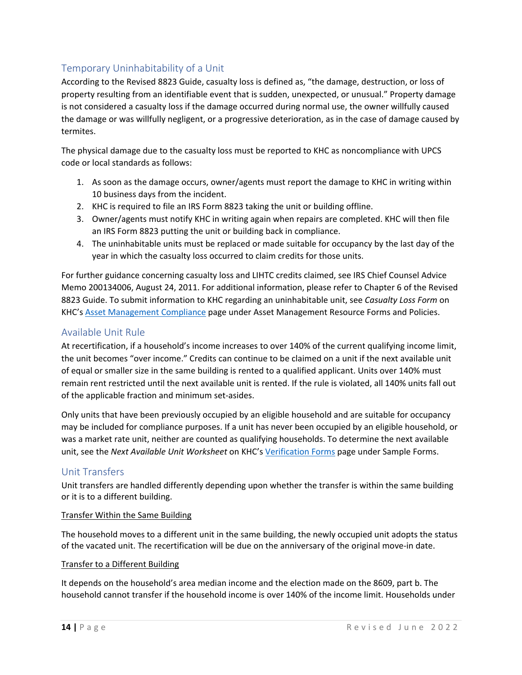#### <span id="page-13-0"></span>Temporary Uninhabitability of a Unit

According to the Revised 8823 Guide, casualty loss is defined as, "the damage, destruction, or loss of property resulting from an identifiable event that is sudden, unexpected, or unusual." Property damage is not considered a casualty loss if the damage occurred during normal use, the owner willfully caused the damage or was willfully negligent, or a progressive deterioration, as in the case of damage caused by termites.

The physical damage due to the casualty loss must be reported to KHC as noncompliance with UPCS code or local standards as follows:

- 1. As soon as the damage occurs, owner/agents must report the damage to KHC in writing within 10 business days from the incident.
- 2. KHC is required to file an IRS Form 8823 taking the unit or building offline.
- 3. Owner/agents must notify KHC in writing again when repairs are completed. KHC will then file an IRS Form 8823 putting the unit or building back in compliance.
- 4. The uninhabitable units must be replaced or made suitable for occupancy by the last day of the year in which the casualty loss occurred to claim credits for those units.

For further guidance concerning casualty loss and LIHTC credits claimed, see IRS Chief Counsel Advice Memo 200134006, August 24, 2011. For additional information, please refer to Chapter 6 of the Revised 8823 Guide. To submit information to KHC regarding an uninhabitable unit, see *Casualty Loss Form* on KHC's [Asset Management Compliance](https://www.kyhousing.org/Partners/Inspections-and-Compliance/Compliance/Pages/default.aspx) page under Asset Management Resource Forms and Policies.

#### <span id="page-13-1"></span>Available Unit Rule

At recertification, if a household's income increases to over 140% of the current qualifying income limit, the unit becomes "over income." Credits can continue to be claimed on a unit if the next available unit of equal or smaller size in the same building is rented to a qualified applicant. Units over 140% must remain rent restricted until the next available unit is rented. If the rule is violated, all 140% units fall out of the applicable fraction and minimum set-asides.

Only units that have been previously occupied by an eligible household and are suitable for occupancy may be included for compliance purposes. If a unit has never been occupied by an eligible household, or was a market rate unit, neither are counted as qualifying households. To determine the next available unit, see the *Next Available Unit Worksheet* on KHC's [Verification Forms](https://www.kyhousing.org/Partners/Inspections-and-Compliance/Compliance/Pages/Verification-Forms.aspx) page under Sample Forms.

#### <span id="page-13-2"></span>Unit Transfers

Unit transfers are handled differently depending upon whether the transfer is within the same building or it is to a different building.

#### Transfer Within the Same Building

The household moves to a different unit in the same building, the newly occupied unit adopts the status of the vacated unit. The recertification will be due on the anniversary of the original move-in date.

#### Transfer to a Different Building

It depends on the household's area median income and the election made on the 8609, part b. The household cannot transfer if the household income is over 140% of the income limit. Households under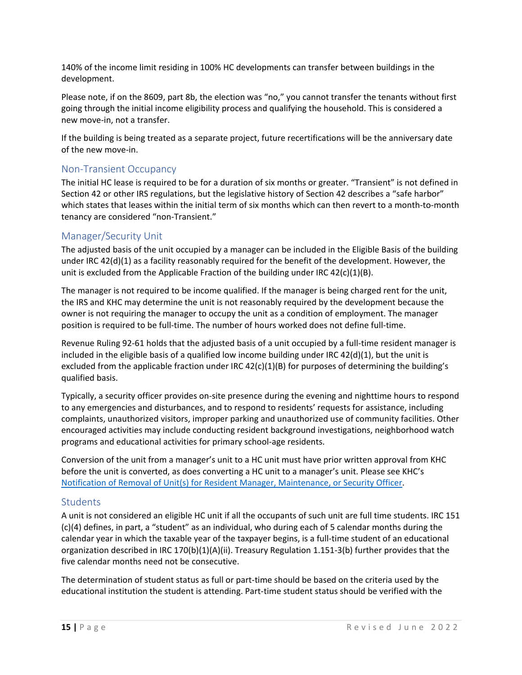140% of the income limit residing in 100% HC developments can transfer between buildings in the development.

Please note, if on the 8609, part 8b, the election was "no," you cannot transfer the tenants without first going through the initial income eligibility process and qualifying the household. This is considered a new move-in, not a transfer.

If the building is being treated as a separate project, future recertifications will be the anniversary date of the new move-in.

#### <span id="page-14-0"></span>Non-Transient Occupancy

The initial HC lease is required to be for a duration of six months or greater. "Transient" is not defined in Section 42 or other IRS regulations, but the legislative history of Section 42 describes a "safe harbor" which states that leases within the initial term of six months which can then revert to a month-to-month tenancy are considered "non-Transient."

#### <span id="page-14-1"></span>Manager/Security Unit

The adjusted basis of the unit occupied by a manager can be included in the Eligible Basis of the building under IRC 42(d)(1) as a facility reasonably required for the benefit of the development. However, the unit is excluded from the Applicable Fraction of the building under IRC  $42(c)(1)(B)$ .

The manager is not required to be income qualified. If the manager is being charged rent for the unit, the IRS and KHC may determine the unit is not reasonably required by the development because the owner is not requiring the manager to occupy the unit as a condition of employment. The manager position is required to be full-time. The number of hours worked does not define full-time.

Revenue Ruling 92-61 holds that the adjusted basis of a unit occupied by a full-time resident manager is included in the eligible basis of a qualified low income building under IRC  $42(d)(1)$ , but the unit is excluded from the applicable fraction under IRC  $42(c)(1)(B)$  for purposes of determining the building's qualified basis.

Typically, a security officer provides on-site presence during the evening and nighttime hours to respond to any emergencies and disturbances, and to respond to residents' requests for assistance, including complaints, unauthorized visitors, improper parking and unauthorized use of community facilities. Other encouraged activities may include conducting resident background investigations, neighborhood watch programs and educational activities for primary school-age residents.

Conversion of the unit from a manager's unit to a HC unit must have prior written approval from KHC before the unit is converted, as does converting a HC unit to a manager's unit. Please see KHC's [Notification of Removal of Unit\(s\) for Resident Manager, Maintenance, or Security Officer.](https://www.kyhousing.org/Partners/Inspections-and-Compliance/Compliance/Documents/Notification%20of%20Removal-Restoration%20of%20Unit(s)%20for%20Resident%20Manager,%20Maintenance%20or%20Security.pdf)

#### <span id="page-14-2"></span>Students

A unit is not considered an eligible HC unit if all the occupants of such unit are full time students. IRC 151 (c)(4) defines, in part, a "student" as an individual, who during each of 5 calendar months during the calendar year in which the taxable year of the taxpayer begins, is a full-time student of an educational organization described in IRC 170(b)(1)(A)(ii). Treasury Regulation 1.151-3(b) further provides that the five calendar months need not be consecutive.

The determination of student status as full or part-time should be based on the criteria used by the educational institution the student is attending. Part-time student status should be verified with the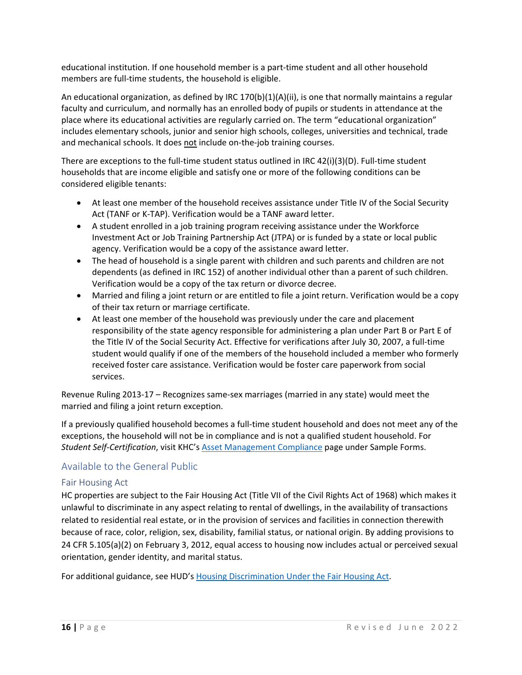educational institution. If one household member is a part-time student and all other household members are full-time students, the household is eligible.

An educational organization, as defined by IRC 170(b)(1)(A)(ii), is one that normally maintains a regular faculty and curriculum, and normally has an enrolled body of pupils or students in attendance at the place where its educational activities are regularly carried on. The term "educational organization" includes elementary schools, junior and senior high schools, colleges, universities and technical, trade and mechanical schools. It does not include on-the-job training courses.

There are exceptions to the full-time student status outlined in IRC 42(i)(3)(D). Full-time student households that are income eligible and satisfy one or more of the following conditions can be considered eligible tenants:

- At least one member of the household receives assistance under Title IV of the Social Security Act (TANF or K-TAP). Verification would be a TANF award letter.
- A student enrolled in a job training program receiving assistance under the Workforce Investment Act or Job Training Partnership Act (JTPA) or is funded by a state or local public agency. Verification would be a copy of the assistance award letter.
- The head of household is a single parent with children and such parents and children are not dependents (as defined in IRC 152) of another individual other than a parent of such children. Verification would be a copy of the tax return or divorce decree.
- Married and filing a joint return or are entitled to file a joint return. Verification would be a copy of their tax return or marriage certificate.
- At least one member of the household was previously under the care and placement responsibility of the state agency responsible for administering a plan under Part B or Part E of the Title IV of the Social Security Act. Effective for verifications after July 30, 2007, a full-time student would qualify if one of the members of the household included a member who formerly received foster care assistance. Verification would be foster care paperwork from social services.

Revenue Ruling 2013-17 – Recognizes same-sex marriages (married in any state) would meet the married and filing a joint return exception.

If a previously qualified household becomes a full-time student household and does not meet any of the exceptions, the household will not be in compliance and is not a qualified student household. For *Student Self-Certification*, visit KHC's [Asset Management Compliance](https://www.kyhousing.org/Partners/Inspections-and-Compliance/Compliance/Pages/default.aspx) page under Sample Forms.

#### <span id="page-15-0"></span>Available to the General Public

#### <span id="page-15-1"></span>Fair Housing Act

HC properties are subject to the Fair Housing Act (Title VII of the Civil Rights Act of 1968) which makes it unlawful to discriminate in any aspect relating to rental of dwellings, in the availability of transactions related to residential real estate, or in the provision of services and facilities in connection therewith because of race, color, religion, sex, disability, familial status, or national origin. By adding provisions to 24 CFR 5.105(a)(2) on February 3, 2012, equal access to housing now includes actual or perceived sexual orientation, gender identity, and marital status.

For additional guidance, see HUD's [Housing Discrimination Under the Fair Housing](https://www.hud.gov/program_offices/fair_housing_equal_opp/fair_housing_act_overview) Act.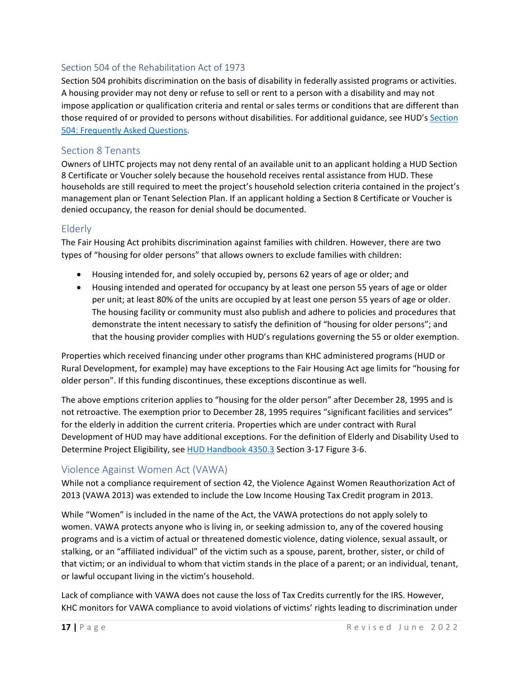#### <span id="page-16-0"></span>Section 504 of the Rehabilitation Act of 1973

Section 504 prohibits discrimination on the basis of disability in federally assisted programs or activities. A housing provider may not deny or refuse to sell or rent to a person with a disability and may not impose application or qualification criteria and rental or sales terms or conditions that are different than those required of or provided to persons without disabilities. For additional guidance, see HUD'[s Section](https://www.hud.gov/program_offices/fair_housing_equal_opp/disabilities/sect504faq)  [504: Frequently Asked Questions.](https://www.hud.gov/program_offices/fair_housing_equal_opp/disabilities/sect504faq)

#### <span id="page-16-1"></span>Section 8 Tenants

Owners of LIHTC projects may not deny rental of an available unit to an applicant holding a HUD Section 8 Certificate or Voucher solely because the household receives rental assistance from HUD. These households are still required to meet the project's household selection criteria contained in the project's management plan or Tenant Selection Plan. If an applicant holding a Section 8 Certificate or Voucher is denied occupancy, the reason for denial should be documented.

#### <span id="page-16-2"></span>Elderly

The Fair Housing Act prohibits discrimination against families with children. However, there are two types of "housing for older persons" that allows owners to exclude families with children:

- Housing intended for, and solely occupied by, persons 62 years of age or older; and
- Housing intended and operated for occupancy by at least one person 55 years of age or older per unit; at least 80% of the units are occupied by at least one person 55 years of age or older. The housing facility or community must also publish and adhere to policies and procedures that demonstrate the intent necessary to satisfy the definition of "housing for older persons"; and that the housing provider complies with HUD's regulations governing the 55 or older exemption.

Properties which received financing under other programs than KHC administered programs (HUD or Rural Development, for example) may have exceptions to the Fair Housing Act age limits for "housing for older person". If this funding discontinues, these exceptions discontinue as well.

The above emptions criterion applies to "housing for the older person" after December 28, 1995 and is not retroactive. The exemption prior to December 28, 1995 requires "significant facilities and services" for the elderly in addition the current criteria. Properties which are under contract with Rural Development of HUD may have additional exceptions. For the definition of Elderly and Disability Used to Determine Project Eligibility, se[e HUD Handbook 4350.3](https://www.hud.gov/sites/documents/DOC_35639.PDF) Section 3-17 Figure 3-6.

#### <span id="page-16-3"></span>Violence Against Women Act (VAWA)

While not a compliance requirement of section 42, the Violence Against Women Reauthorization Act of 2013 (VAWA 2013) was extended to include the Low Income Housing Tax Credit program in 2013.

While "Women" is included in the name of the Act, the VAWA protections do not apply solely to women. VAWA protects anyone who is living in, or seeking admission to, any of the covered housing programs and is a victim of actual or threatened domestic violence, dating violence, sexual assault, or stalking, or an "affiliated individual" of the victim such as a spouse, parent, brother, sister, or child of that victim; or an individual to whom that victim stands in the place of a parent; or an individual, tenant, or lawful occupant living in the victim's household.

Lack of compliance with VAWA does not cause the loss of Tax Credits currently for the IRS. However, KHC monitors for VAWA compliance to avoid violations of victims' rights leading to discrimination under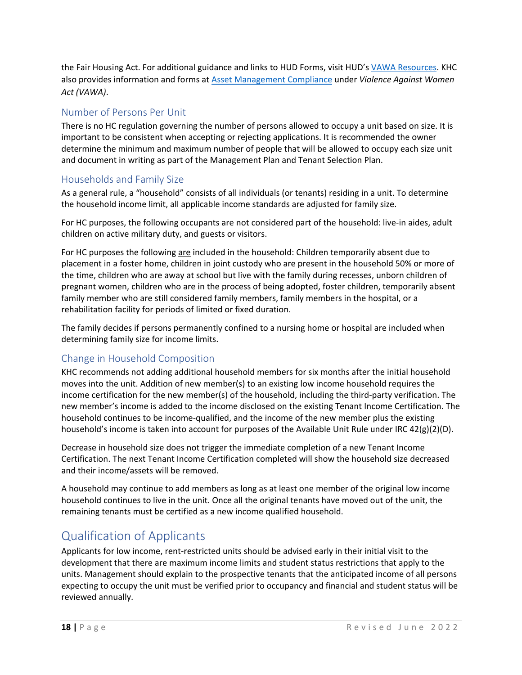the Fair Housing Act. For additional guidance and links to HUD Forms, visit HUD'[s VAWA Resources.](https://www.hud.gov/program_offices/housing/mfh/violence_against_women_act) KHC also provides information and forms at [Asset Management Compliance](https://www.kyhousing.org/Partners/Inspections-and-Compliance/Compliance/Pages/default.aspx) under *Violence Against Women Act (VAWA)*.

#### <span id="page-17-0"></span>Number of Persons Per Unit

There is no HC regulation governing the number of persons allowed to occupy a unit based on size. It is important to be consistent when accepting or rejecting applications. It is recommended the owner determine the minimum and maximum number of people that will be allowed to occupy each size unit and document in writing as part of the Management Plan and Tenant Selection Plan.

#### <span id="page-17-1"></span>Households and Family Size

As a general rule, a "household" consists of all individuals (or tenants) residing in a unit. To determine the household income limit, all applicable income standards are adjusted for family size.

For HC purposes, the following occupants are not considered part of the household: live-in aides, adult children on active military duty, and guests or visitors.

For HC purposes the following are included in the household: Children temporarily absent due to placement in a foster home, children in joint custody who are present in the household 50% or more of the time, children who are away at school but live with the family during recesses, unborn children of pregnant women, children who are in the process of being adopted, foster children, temporarily absent family member who are still considered family members, family members in the hospital, or a rehabilitation facility for periods of limited or fixed duration.

The family decides if persons permanently confined to a nursing home or hospital are included when determining family size for income limits.

#### <span id="page-17-2"></span>Change in Household Composition

KHC recommends not adding additional household members for six months after the initial household moves into the unit. Addition of new member(s) to an existing low income household requires the income certification for the new member(s) of the household, including the third-party verification. The new member's income is added to the income disclosed on the existing Tenant Income Certification. The household continues to be income-qualified, and the income of the new member plus the existing household's income is taken into account for purposes of the Available Unit Rule under IRC 42(g)(2)(D).

Decrease in household size does not trigger the immediate completion of a new Tenant Income Certification. The next Tenant Income Certification completed will show the household size decreased and their income/assets will be removed.

A household may continue to add members as long as at least one member of the original low income household continues to live in the unit. Once all the original tenants have moved out of the unit, the remaining tenants must be certified as a new income qualified household.

## <span id="page-17-3"></span>Qualification of Applicants

Applicants for low income, rent-restricted units should be advised early in their initial visit to the development that there are maximum income limits and student status restrictions that apply to the units. Management should explain to the prospective tenants that the anticipated income of all persons expecting to occupy the unit must be verified prior to occupancy and financial and student status will be reviewed annually.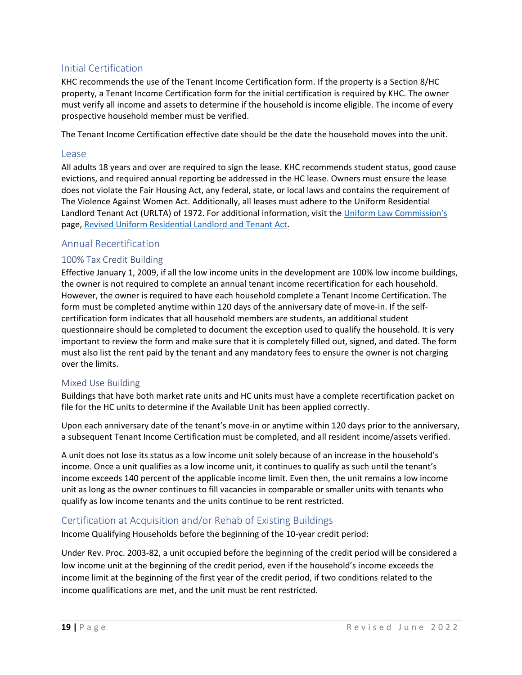#### <span id="page-18-0"></span>Initial Certification

KHC recommends the use of the Tenant Income Certification form. If the property is a Section 8/HC property, a Tenant Income Certification form for the initial certification is required by KHC. The owner must verify all income and assets to determine if the household is income eligible. The income of every prospective household member must be verified.

The Tenant Income Certification effective date should be the date the household moves into the unit.

#### <span id="page-18-1"></span>Lease

All adults 18 years and over are required to sign the lease. KHC recommends student status, good cause evictions, and required annual reporting be addressed in the HC lease. Owners must ensure the lease does not violate the Fair Housing Act, any federal, state, or local laws and contains the requirement of The Violence Against Women Act. Additionally, all leases must adhere to the Uniform Residential Landlord Tenant Act (URLTA) of 1972. For additional information, visit the [Uniform Law Commission's](https://www.uniformlaws.org/home) page, [Revised Uniform Residential Landlord and Tenant Act.](https://www.uniformlaws.org/committees/community-home?CommunityKey=e9cd20a1-b939-4265-9f1e-3a47a538d495)

#### <span id="page-18-2"></span>Annual Recertification

#### <span id="page-18-3"></span>100% Tax Credit Building

Effective January 1, 2009, if all the low income units in the development are 100% low income buildings, the owner is not required to complete an annual tenant income recertification for each household. However, the owner is required to have each household complete a Tenant Income Certification. The form must be completed anytime within 120 days of the anniversary date of move-in. If the selfcertification form indicates that all household members are students, an additional student questionnaire should be completed to document the exception used to qualify the household. It is very important to review the form and make sure that it is completely filled out, signed, and dated. The form must also list the rent paid by the tenant and any mandatory fees to ensure the owner is not charging over the limits.

#### <span id="page-18-4"></span>Mixed Use Building

Buildings that have both market rate units and HC units must have a complete recertification packet on file for the HC units to determine if the Available Unit has been applied correctly.

Upon each anniversary date of the tenant's move-in or anytime within 120 days prior to the anniversary, a subsequent Tenant Income Certification must be completed, and all resident income/assets verified.

A unit does not lose its status as a low income unit solely because of an increase in the household's income. Once a unit qualifies as a low income unit, it continues to qualify as such until the tenant's income exceeds 140 percent of the applicable income limit. Even then, the unit remains a low income unit as long as the owner continues to fill vacancies in comparable or smaller units with tenants who qualify as low income tenants and the units continue to be rent restricted.

#### <span id="page-18-5"></span>Certification at Acquisition and/or Rehab of Existing Buildings

Income Qualifying Households before the beginning of the 10-year credit period:

Under Rev. Proc. 2003-82, a unit occupied before the beginning of the credit period will be considered a low income unit at the beginning of the credit period, even if the household's income exceeds the income limit at the beginning of the first year of the credit period, if two conditions related to the income qualifications are met, and the unit must be rent restricted.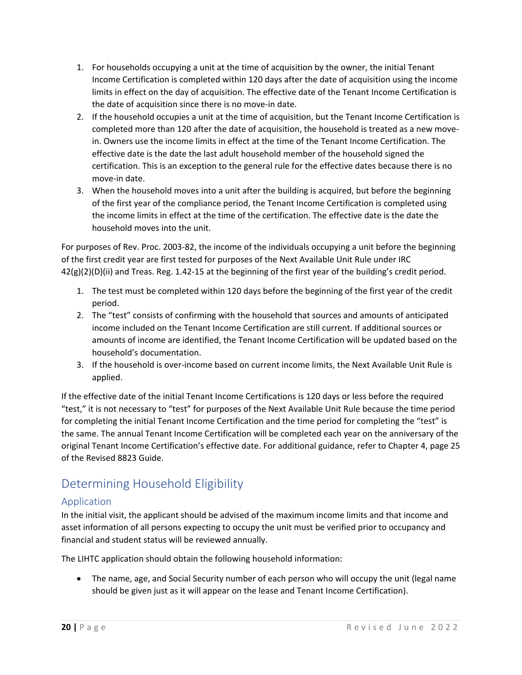- 1. For households occupying a unit at the time of acquisition by the owner, the initial Tenant Income Certification is completed within 120 days after the date of acquisition using the income limits in effect on the day of acquisition. The effective date of the Tenant Income Certification is the date of acquisition since there is no move-in date.
- 2. If the household occupies a unit at the time of acquisition, but the Tenant Income Certification is completed more than 120 after the date of acquisition, the household is treated as a new movein. Owners use the income limits in effect at the time of the Tenant Income Certification. The effective date is the date the last adult household member of the household signed the certification. This is an exception to the general rule for the effective dates because there is no move-in date.
- 3. When the household moves into a unit after the building is acquired, but before the beginning of the first year of the compliance period, the Tenant Income Certification is completed using the income limits in effect at the time of the certification. The effective date is the date the household moves into the unit.

For purposes of Rev. Proc. 2003-82, the income of the individuals occupying a unit before the beginning of the first credit year are first tested for purposes of the Next Available Unit Rule under IRC 42(g)(2)(D)(ii) and Treas. Reg. 1.42-15 at the beginning of the first year of the building's credit period.

- 1. The test must be completed within 120 days before the beginning of the first year of the credit period.
- 2. The "test" consists of confirming with the household that sources and amounts of anticipated income included on the Tenant Income Certification are still current. If additional sources or amounts of income are identified, the Tenant Income Certification will be updated based on the household's documentation.
- 3. If the household is over-income based on current income limits, the Next Available Unit Rule is applied.

If the effective date of the initial Tenant Income Certifications is 120 days or less before the required "test," it is not necessary to "test" for purposes of the Next Available Unit Rule because the time period for completing the initial Tenant Income Certification and the time period for completing the "test" is the same. The annual Tenant Income Certification will be completed each year on the anniversary of the original Tenant Income Certification's effective date. For additional guidance, refer to Chapter 4, page 25 of the Revised 8823 Guide.

## <span id="page-19-0"></span>Determining Household Eligibility

#### <span id="page-19-1"></span>Application

In the initial visit, the applicant should be advised of the maximum income limits and that income and asset information of all persons expecting to occupy the unit must be verified prior to occupancy and financial and student status will be reviewed annually.

The LIHTC application should obtain the following household information:

• The name, age, and Social Security number of each person who will occupy the unit (legal name should be given just as it will appear on the lease and Tenant Income Certification).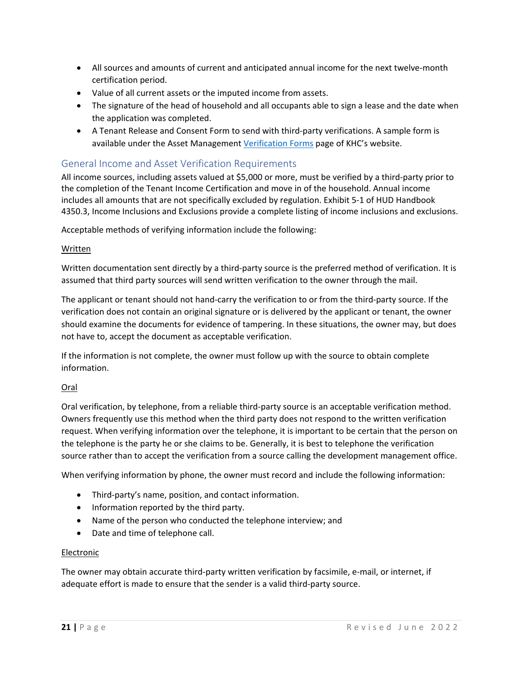- All sources and amounts of current and anticipated annual income for the next twelve-month certification period.
- Value of all current assets or the imputed income from assets.
- The signature of the head of household and all occupants able to sign a lease and the date when the application was completed.
- A Tenant Release and Consent Form to send with third-party verifications. A sample form is available under the Asset Management [Verification Forms](https://www.kyhousing.org/Partners/Inspections-and-Compliance/Compliance/Pages/Verification-Forms.aspx) page of KHC's website.

#### <span id="page-20-0"></span>General Income and Asset Verification Requirements

All income sources, including assets valued at \$5,000 or more, must be verified by a third-party prior to the completion of the Tenant Income Certification and move in of the household. Annual income includes all amounts that are not specifically excluded by regulation. Exhibit 5-1 of HUD Handbook 4350.3, Income Inclusions and Exclusions provide a complete listing of income inclusions and exclusions.

Acceptable methods of verifying information include the following:

#### Written

Written documentation sent directly by a third-party source is the preferred method of verification. It is assumed that third party sources will send written verification to the owner through the mail.

The applicant or tenant should not hand-carry the verification to or from the third-party source. If the verification does not contain an original signature or is delivered by the applicant or tenant, the owner should examine the documents for evidence of tampering. In these situations, the owner may, but does not have to, accept the document as acceptable verification.

If the information is not complete, the owner must follow up with the source to obtain complete information.

#### Oral

Oral verification, by telephone, from a reliable third-party source is an acceptable verification method. Owners frequently use this method when the third party does not respond to the written verification request. When verifying information over the telephone, it is important to be certain that the person on the telephone is the party he or she claims to be. Generally, it is best to telephone the verification source rather than to accept the verification from a source calling the development management office.

When verifying information by phone, the owner must record and include the following information:

- Third-party's name, position, and contact information.
- Information reported by the third party.
- Name of the person who conducted the telephone interview; and
- Date and time of telephone call.

#### **Electronic**

The owner may obtain accurate third-party written verification by facsimile, e-mail, or internet, if adequate effort is made to ensure that the sender is a valid third-party source.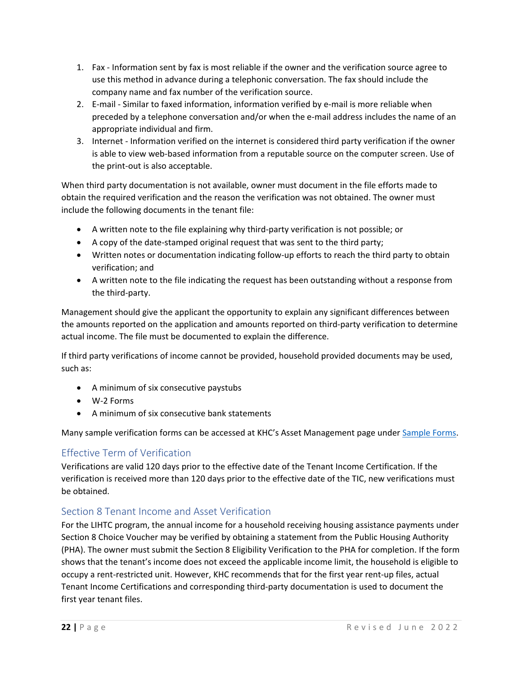- 1. Fax Information sent by fax is most reliable if the owner and the verification source agree to use this method in advance during a telephonic conversation. The fax should include the company name and fax number of the verification source.
- 2. E-mail Similar to faxed information, information verified by e-mail is more reliable when preceded by a telephone conversation and/or when the e-mail address includes the name of an appropriate individual and firm.
- 3. Internet Information verified on the internet is considered third party verification if the owner is able to view web-based information from a reputable source on the computer screen. Use of the print-out is also acceptable.

When third party documentation is not available, owner must document in the file efforts made to obtain the required verification and the reason the verification was not obtained. The owner must include the following documents in the tenant file:

- A written note to the file explaining why third-party verification is not possible; or
- A copy of the date-stamped original request that was sent to the third party;
- Written notes or documentation indicating follow-up efforts to reach the third party to obtain verification; and
- A written note to the file indicating the request has been outstanding without a response from the third-party.

Management should give the applicant the opportunity to explain any significant differences between the amounts reported on the application and amounts reported on third-party verification to determine actual income. The file must be documented to explain the difference.

If third party verifications of income cannot be provided, household provided documents may be used, such as:

- A minimum of six consecutive paystubs
- W-2 Forms
- A minimum of six consecutive bank statements

Many sample verification forms can be accessed at KHC's Asset Management page under [Sample Forms.](https://www.kyhousing.org/Partners/Inspections-and-Compliance/Compliance/Pages/Verification-Forms.aspx)

#### <span id="page-21-0"></span>Effective Term of Verification

Verifications are valid 120 days prior to the effective date of the Tenant Income Certification. If the verification is received more than 120 days prior to the effective date of the TIC, new verifications must be obtained.

#### <span id="page-21-1"></span>Section 8 Tenant Income and Asset Verification

For the LIHTC program, the annual income for a household receiving housing assistance payments under Section 8 Choice Voucher may be verified by obtaining a statement from the Public Housing Authority (PHA). The owner must submit the Section 8 Eligibility Verification to the PHA for completion. If the form shows that the tenant's income does not exceed the applicable income limit, the household is eligible to occupy a rent-restricted unit. However, KHC recommends that for the first year rent-up files, actual Tenant Income Certifications and corresponding third-party documentation is used to document the first year tenant files.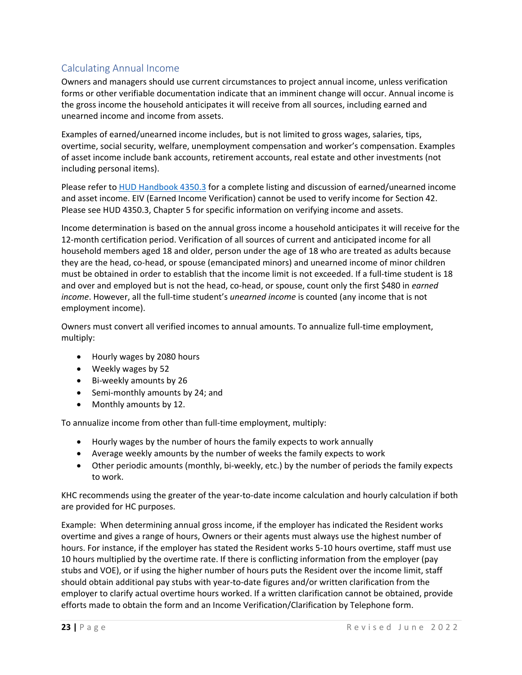#### <span id="page-22-0"></span>Calculating Annual Income

Owners and managers should use current circumstances to project annual income, unless verification forms or other verifiable documentation indicate that an imminent change will occur. Annual income is the gross income the household anticipates it will receive from all sources, including earned and unearned income and income from assets.

Examples of earned/unearned income includes, but is not limited to gross wages, salaries, tips, overtime, social security, welfare, unemployment compensation and worker's compensation. Examples of asset income include bank accounts, retirement accounts, real estate and other investments (not including personal items).

Please refer t[o HUD Handbook 4350.3](https://www.hud.gov/sites/documents/DOC_35639.PDF) for a complete listing and discussion of earned/unearned income and asset income. EIV (Earned Income Verification) cannot be used to verify income for Section 42. Please see HUD 4350.3, Chapter 5 for specific information on verifying income and assets.

Income determination is based on the annual gross income a household anticipates it will receive for the 12-month certification period. Verification of all sources of current and anticipated income for all household members aged 18 and older, person under the age of 18 who are treated as adults because they are the head, co-head, or spouse (emancipated minors) and unearned income of minor children must be obtained in order to establish that the income limit is not exceeded. If a full-time student is 18 and over and employed but is not the head, co-head, or spouse, count only the first \$480 in *earned income*. However, all the full-time student's *unearned income* is counted (any income that is not employment income).

Owners must convert all verified incomes to annual amounts. To annualize full-time employment, multiply:

- Hourly wages by 2080 hours
- Weekly wages by 52
- Bi-weekly amounts by 26
- Semi-monthly amounts by 24; and
- Monthly amounts by 12.

To annualize income from other than full-time employment, multiply:

- Hourly wages by the number of hours the family expects to work annually
- Average weekly amounts by the number of weeks the family expects to work
- Other periodic amounts (monthly, bi-weekly, etc.) by the number of periods the family expects to work.

KHC recommends using the greater of the year-to-date income calculation and hourly calculation if both are provided for HC purposes.

Example: When determining annual gross income, if the employer has indicated the Resident works overtime and gives a range of hours, Owners or their agents must always use the highest number of hours. For instance, if the employer has stated the Resident works 5-10 hours overtime, staff must use 10 hours multiplied by the overtime rate. If there is conflicting information from the employer (pay stubs and VOE), or if using the higher number of hours puts the Resident over the income limit, staff should obtain additional pay stubs with year-to-date figures and/or written clarification from the employer to clarify actual overtime hours worked. If a written clarification cannot be obtained, provide efforts made to obtain the form and an Income Verification/Clarification by Telephone form.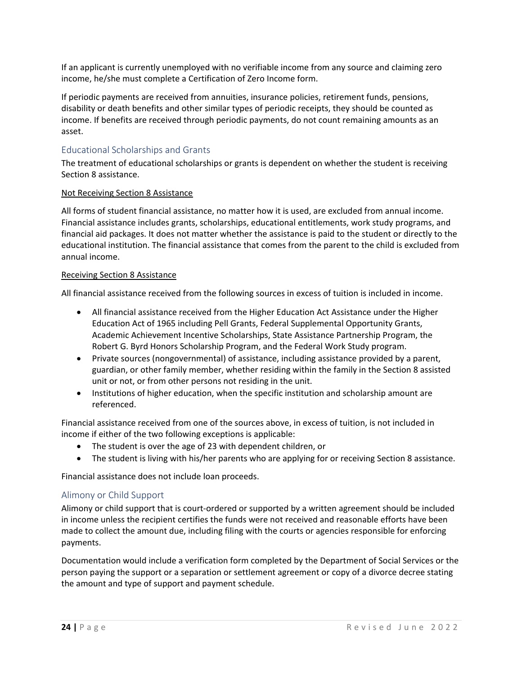If an applicant is currently unemployed with no verifiable income from any source and claiming zero income, he/she must complete a Certification of Zero Income form.

If periodic payments are received from annuities, insurance policies, retirement funds, pensions, disability or death benefits and other similar types of periodic receipts, they should be counted as income. If benefits are received through periodic payments, do not count remaining amounts as an asset.

#### <span id="page-23-0"></span>Educational Scholarships and Grants

The treatment of educational scholarships or grants is dependent on whether the student is receiving Section 8 assistance.

#### Not Receiving Section 8 Assistance

All forms of student financial assistance, no matter how it is used, are excluded from annual income. Financial assistance includes grants, scholarships, educational entitlements, work study programs, and financial aid packages. It does not matter whether the assistance is paid to the student or directly to the educational institution. The financial assistance that comes from the parent to the child is excluded from annual income.

#### Receiving Section 8 Assistance

All financial assistance received from the following sources in excess of tuition is included in income.

- All financial assistance received from the Higher Education Act Assistance under the Higher Education Act of 1965 including Pell Grants, Federal Supplemental Opportunity Grants, Academic Achievement Incentive Scholarships, State Assistance Partnership Program, the Robert G. Byrd Honors Scholarship Program, and the Federal Work Study program.
- Private sources (nongovernmental) of assistance, including assistance provided by a parent, guardian, or other family member, whether residing within the family in the Section 8 assisted unit or not, or from other persons not residing in the unit.
- Institutions of higher education, when the specific institution and scholarship amount are referenced.

Financial assistance received from one of the sources above, in excess of tuition, is not included in income if either of the two following exceptions is applicable:

- The student is over the age of 23 with dependent children, or
- The student is living with his/her parents who are applying for or receiving Section 8 assistance.

Financial assistance does not include loan proceeds.

#### <span id="page-23-1"></span>Alimony or Child Support

Alimony or child support that is court-ordered or supported by a written agreement should be included in income unless the recipient certifies the funds were not received and reasonable efforts have been made to collect the amount due, including filing with the courts or agencies responsible for enforcing payments.

Documentation would include a verification form completed by the Department of Social Services or the person paying the support or a separation or settlement agreement or copy of a divorce decree stating the amount and type of support and payment schedule.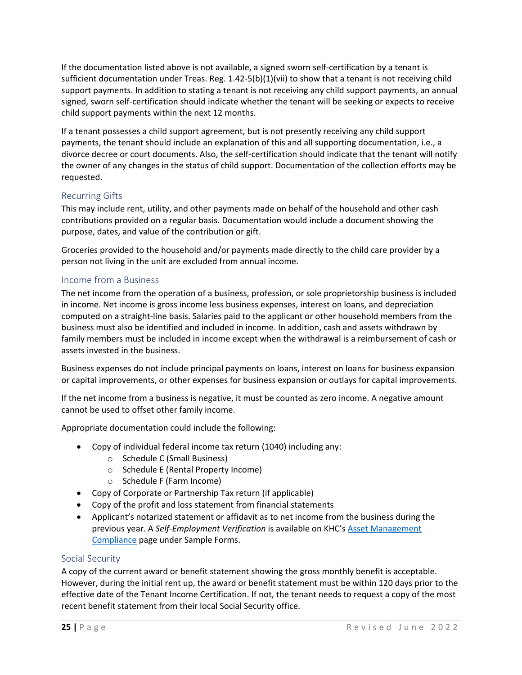If the documentation listed above is not available, a signed sworn self-certification by a tenant is sufficient documentation under Treas. Reg. 1.42-5(b)(1)(vii) to show that a tenant is not receiving child support payments. In addition to stating a tenant is not receiving any child support payments, an annual signed, sworn self-certification should indicate whether the tenant will be seeking or expects to receive child support payments within the next 12 months.

If a tenant possesses a child support agreement, but is not presently receiving any child support payments, the tenant should include an explanation of this and all supporting documentation, i.e., a divorce decree or court documents. Also, the self-certification should indicate that the tenant will notify the owner of any changes in the status of child support. Documentation of the collection efforts may be requested.

#### <span id="page-24-0"></span>Recurring Gifts

This may include rent, utility, and other payments made on behalf of the household and other cash contributions provided on a regular basis. Documentation would include a document showing the purpose, dates, and value of the contribution or gift.

Groceries provided to the household and/or payments made directly to the child care provider by a person not living in the unit are excluded from annual income.

#### <span id="page-24-1"></span>Income from a Business

The net income from the operation of a business, profession, or sole proprietorship business is included in income. Net income is gross income less business expenses, interest on loans, and depreciation computed on a straight-line basis. Salaries paid to the applicant or other household members from the business must also be identified and included in income. In addition, cash and assets withdrawn by family members must be included in income except when the withdrawal is a reimbursement of cash or assets invested in the business.

Business expenses do not include principal payments on loans, interest on loans for business expansion or capital improvements, or other expenses for business expansion or outlays for capital improvements.

If the net income from a business is negative, it must be counted as zero income. A negative amount cannot be used to offset other family income.

Appropriate documentation could include the following:

- Copy of individual federal income tax return (1040) including any:
	- o Schedule C (Small Business)
	- o Schedule E (Rental Property Income)
	- o Schedule F (Farm Income)
- Copy of Corporate or Partnership Tax return (if applicable)
- Copy of the profit and loss statement from financial statements
- Applicant's notarized statement or affidavit as to net income from the business during the previous year. A *Self-Employment Verification* is available on KHC's [Asset Management](https://www.kyhousing.org/Partners/Inspections-and-Compliance/Compliance/Pages/default.aspx)  [Compliance](https://www.kyhousing.org/Partners/Inspections-and-Compliance/Compliance/Pages/default.aspx) page under Sample Forms.

#### <span id="page-24-2"></span>Social Security

A copy of the current award or benefit statement showing the gross monthly benefit is acceptable. However, during the initial rent up, the award or benefit statement must be within 120 days prior to the effective date of the Tenant Income Certification. If not, the tenant needs to request a copy of the most recent benefit statement from their local Social Security office.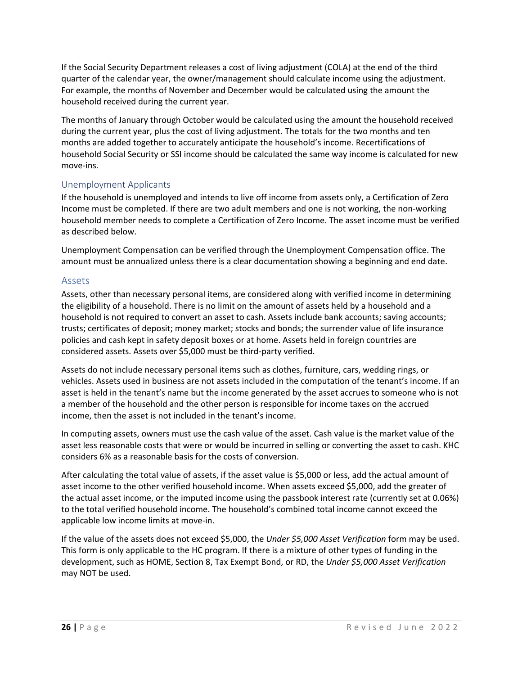If the Social Security Department releases a cost of living adjustment (COLA) at the end of the third quarter of the calendar year, the owner/management should calculate income using the adjustment. For example, the months of November and December would be calculated using the amount the household received during the current year.

The months of January through October would be calculated using the amount the household received during the current year, plus the cost of living adjustment. The totals for the two months and ten months are added together to accurately anticipate the household's income. Recertifications of household Social Security or SSI income should be calculated the same way income is calculated for new move-ins.

#### <span id="page-25-0"></span>Unemployment Applicants

If the household is unemployed and intends to live off income from assets only, a Certification of Zero Income must be completed. If there are two adult members and one is not working, the non-working household member needs to complete a Certification of Zero Income. The asset income must be verified as described below.

Unemployment Compensation can be verified through the Unemployment Compensation office. The amount must be annualized unless there is a clear documentation showing a beginning and end date.

#### <span id="page-25-1"></span>Assets

Assets, other than necessary personal items, are considered along with verified income in determining the eligibility of a household. There is no limit on the amount of assets held by a household and a household is not required to convert an asset to cash. Assets include bank accounts; saving accounts; trusts; certificates of deposit; money market; stocks and bonds; the surrender value of life insurance policies and cash kept in safety deposit boxes or at home. Assets held in foreign countries are considered assets. Assets over \$5,000 must be third-party verified.

Assets do not include necessary personal items such as clothes, furniture, cars, wedding rings, or vehicles. Assets used in business are not assets included in the computation of the tenant's income. If an asset is held in the tenant's name but the income generated by the asset accrues to someone who is not a member of the household and the other person is responsible for income taxes on the accrued income, then the asset is not included in the tenant's income.

In computing assets, owners must use the cash value of the asset. Cash value is the market value of the asset less reasonable costs that were or would be incurred in selling or converting the asset to cash. KHC considers 6% as a reasonable basis for the costs of conversion.

After calculating the total value of assets, if the asset value is \$5,000 or less, add the actual amount of asset income to the other verified household income. When assets exceed \$5,000, add the greater of the actual asset income, or the imputed income using the passbook interest rate (currently set at 0.06%) to the total verified household income. The household's combined total income cannot exceed the applicable low income limits at move-in.

If the value of the assets does not exceed \$5,000, the *Under \$5,000 Asset Verification* form may be used. This form is only applicable to the HC program. If there is a mixture of other types of funding in the development, such as HOME, Section 8, Tax Exempt Bond, or RD, the *Under \$5,000 Asset Verification* may NOT be used.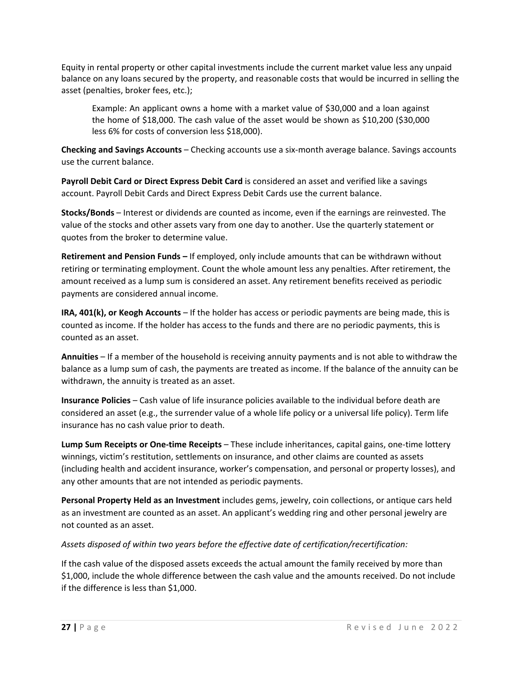Equity in rental property or other capital investments include the current market value less any unpaid balance on any loans secured by the property, and reasonable costs that would be incurred in selling the asset (penalties, broker fees, etc.);

Example: An applicant owns a home with a market value of \$30,000 and a loan against the home of \$18,000. The cash value of the asset would be shown as \$10,200 (\$30,000 less 6% for costs of conversion less \$18,000).

**Checking and Savings Accounts** – Checking accounts use a six-month average balance. Savings accounts use the current balance.

**Payroll Debit Card or Direct Express Debit Card** is considered an asset and verified like a savings account. Payroll Debit Cards and Direct Express Debit Cards use the current balance.

**Stocks/Bonds** – Interest or dividends are counted as income, even if the earnings are reinvested. The value of the stocks and other assets vary from one day to another. Use the quarterly statement or quotes from the broker to determine value.

**Retirement and Pension Funds –** If employed, only include amounts that can be withdrawn without retiring or terminating employment. Count the whole amount less any penalties. After retirement, the amount received as a lump sum is considered an asset. Any retirement benefits received as periodic payments are considered annual income.

**IRA, 401(k), or Keogh Accounts** – If the holder has access or periodic payments are being made, this is counted as income. If the holder has access to the funds and there are no periodic payments, this is counted as an asset.

**Annuities** – If a member of the household is receiving annuity payments and is not able to withdraw the balance as a lump sum of cash, the payments are treated as income. If the balance of the annuity can be withdrawn, the annuity is treated as an asset.

**Insurance Policies** – Cash value of life insurance policies available to the individual before death are considered an asset (e.g., the surrender value of a whole life policy or a universal life policy). Term life insurance has no cash value prior to death.

**Lump Sum Receipts or One-time Receipts** – These include inheritances, capital gains, one-time lottery winnings, victim's restitution, settlements on insurance, and other claims are counted as assets (including health and accident insurance, worker's compensation, and personal or property losses), and any other amounts that are not intended as periodic payments.

**Personal Property Held as an Investment** includes gems, jewelry, coin collections, or antique cars held as an investment are counted as an asset. An applicant's wedding ring and other personal jewelry are not counted as an asset.

*Assets disposed of within two years before the effective date of certification/recertification:*

If the cash value of the disposed assets exceeds the actual amount the family received by more than \$1,000, include the whole difference between the cash value and the amounts received. Do not include if the difference is less than \$1,000.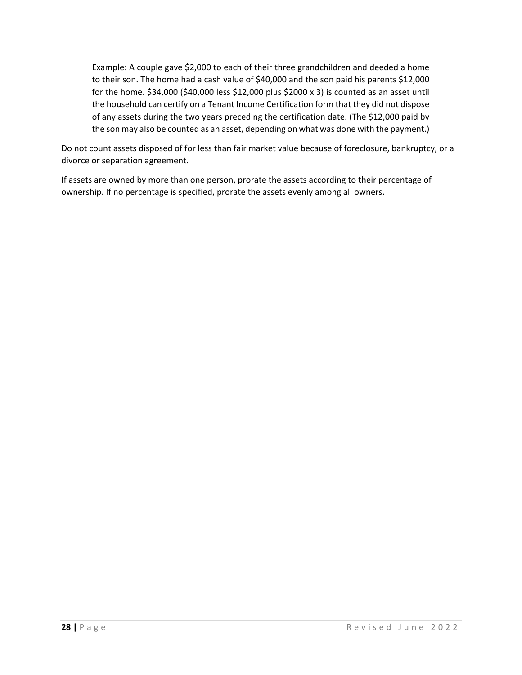Example: A couple gave \$2,000 to each of their three grandchildren and deeded a home to their son. The home had a cash value of \$40,000 and the son paid his parents \$12,000 for the home. \$34,000 (\$40,000 less \$12,000 plus \$2000 x 3) is counted as an asset until the household can certify on a Tenant Income Certification form that they did not dispose of any assets during the two years preceding the certification date. (The \$12,000 paid by the son may also be counted as an asset, depending on what was done with the payment.)

Do not count assets disposed of for less than fair market value because of foreclosure, bankruptcy, or a divorce or separation agreement.

If assets are owned by more than one person, prorate the assets according to their percentage of ownership. If no percentage is specified, prorate the assets evenly among all owners.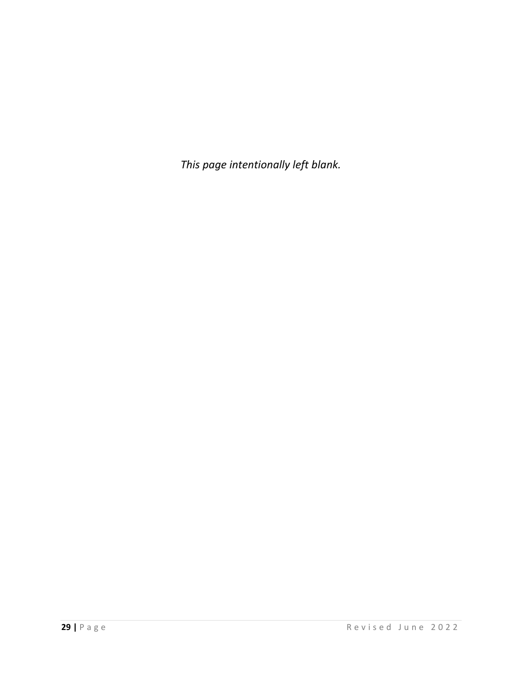*This page intentionally left blank.*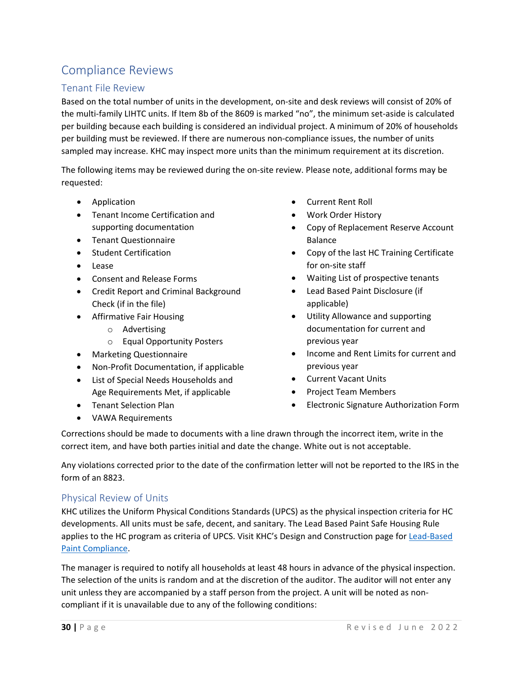## <span id="page-29-0"></span>Compliance Reviews

#### <span id="page-29-1"></span>Tenant File Review

Based on the total number of units in the development, on-site and desk reviews will consist of 20% of the multi-family LIHTC units. If Item 8b of the 8609 is marked "no", the minimum set-aside is calculated per building because each building is considered an individual project. A minimum of 20% of households per building must be reviewed. If there are numerous non-compliance issues, the number of units sampled may increase. KHC may inspect more units than the minimum requirement at its discretion.

The following items may be reviewed during the on-site review. Please note, additional forms may be requested:

- Application
- Tenant Income Certification and supporting documentation
- Tenant Questionnaire
- Student Certification
- Lease
- Consent and Release Forms
- Credit Report and Criminal Background Check (if in the file)
- Affirmative Fair Housing
	- o Advertising
	- o Equal Opportunity Posters
- Marketing Questionnaire
- Non-Profit Documentation, if applicable
- List of Special Needs Households and Age Requirements Met, if applicable
- Tenant Selection Plan
- VAWA Requirements
- Current Rent Roll
- Work Order History
- Copy of Replacement Reserve Account Balance
- Copy of the last HC Training Certificate for on-site staff
- Waiting List of prospective tenants
- Lead Based Paint Disclosure (if applicable)
- Utility Allowance and supporting documentation for current and previous year
- Income and Rent Limits for current and previous year
- Current Vacant Units
- Project Team Members
- Electronic Signature Authorization Form

Corrections should be made to documents with a line drawn through the incorrect item, write in the correct item, and have both parties initial and date the change. White out is not acceptable.

Any violations corrected prior to the date of the confirmation letter will not be reported to the IRS in the form of an 8823.

#### <span id="page-29-2"></span>Physical Review of Units

KHC utilizes the Uniform Physical Conditions Standards (UPCS) as the physical inspection criteria for HC developments. All units must be safe, decent, and sanitary. The Lead Based Paint Safe Housing Rule applies to the HC program as criteria of UPCS. Visit KHC's Design and Construction page for Lead-Based [Paint Compliance.](https://www.kyhousing.org/Partners/Inspections-and-Compliance/Pages/Lead-Based-Paint-Compliance.aspx)

The manager is required to notify all households at least 48 hours in advance of the physical inspection. The selection of the units is random and at the discretion of the auditor. The auditor will not enter any unit unless they are accompanied by a staff person from the project. A unit will be noted as noncompliant if it is unavailable due to any of the following conditions: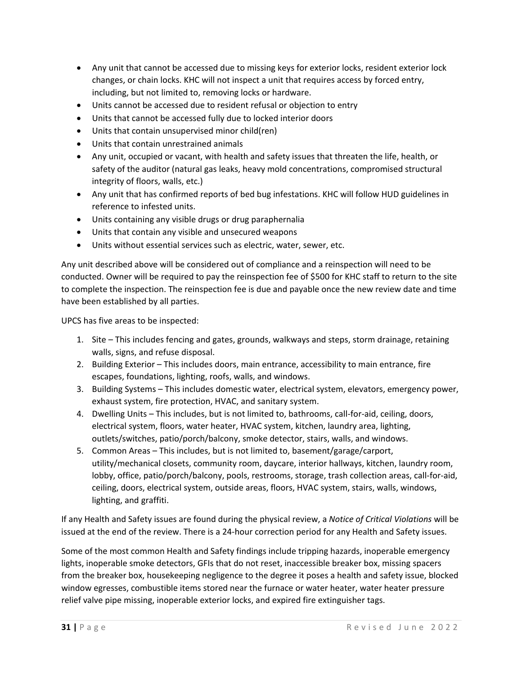- Any unit that cannot be accessed due to missing keys for exterior locks, resident exterior lock changes, or chain locks. KHC will not inspect a unit that requires access by forced entry, including, but not limited to, removing locks or hardware.
- Units cannot be accessed due to resident refusal or objection to entry
- Units that cannot be accessed fully due to locked interior doors
- Units that contain unsupervised minor child(ren)
- Units that contain unrestrained animals
- Any unit, occupied or vacant, with health and safety issues that threaten the life, health, or safety of the auditor (natural gas leaks, heavy mold concentrations, compromised structural integrity of floors, walls, etc.)
- Any unit that has confirmed reports of bed bug infestations. KHC will follow HUD guidelines in reference to infested units.
- Units containing any visible drugs or drug paraphernalia
- Units that contain any visible and unsecured weapons
- Units without essential services such as electric, water, sewer, etc.

Any unit described above will be considered out of compliance and a reinspection will need to be conducted. Owner will be required to pay the reinspection fee of \$500 for KHC staff to return to the site to complete the inspection. The reinspection fee is due and payable once the new review date and time have been established by all parties.

UPCS has five areas to be inspected:

- 1. Site This includes fencing and gates, grounds, walkways and steps, storm drainage, retaining walls, signs, and refuse disposal.
- 2. Building Exterior This includes doors, main entrance, accessibility to main entrance, fire escapes, foundations, lighting, roofs, walls, and windows.
- 3. Building Systems This includes domestic water, electrical system, elevators, emergency power, exhaust system, fire protection, HVAC, and sanitary system.
- 4. Dwelling Units This includes, but is not limited to, bathrooms, call-for-aid, ceiling, doors, electrical system, floors, water heater, HVAC system, kitchen, laundry area, lighting, outlets/switches, patio/porch/balcony, smoke detector, stairs, walls, and windows.
- 5. Common Areas This includes, but is not limited to, basement/garage/carport, utility/mechanical closets, community room, daycare, interior hallways, kitchen, laundry room, lobby, office, patio/porch/balcony, pools, restrooms, storage, trash collection areas, call-for-aid, ceiling, doors, electrical system, outside areas, floors, HVAC system, stairs, walls, windows, lighting, and graffiti.

If any Health and Safety issues are found during the physical review, a *Notice of Critical Violations* will be issued at the end of the review. There is a 24-hour correction period for any Health and Safety issues.

Some of the most common Health and Safety findings include tripping hazards, inoperable emergency lights, inoperable smoke detectors, GFIs that do not reset, inaccessible breaker box, missing spacers from the breaker box, housekeeping negligence to the degree it poses a health and safety issue, blocked window egresses, combustible items stored near the furnace or water heater, water heater pressure relief valve pipe missing, inoperable exterior locks, and expired fire extinguisher tags.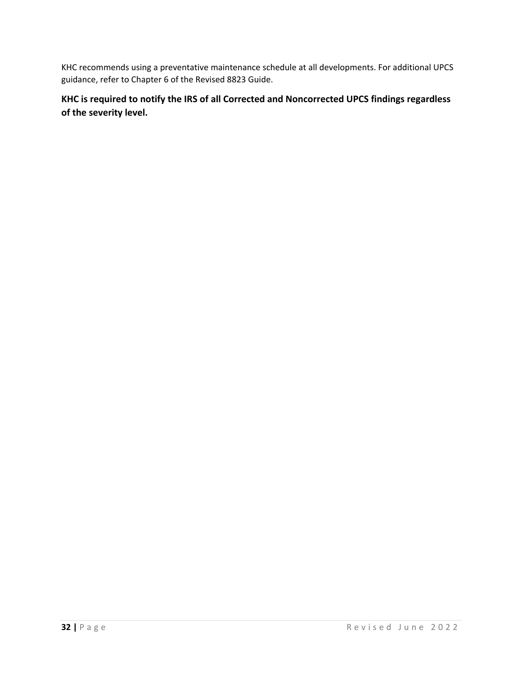KHC recommends using a preventative maintenance schedule at all developments. For additional UPCS guidance, refer to Chapter 6 of the Revised 8823 Guide.

**KHC is required to notify the IRS of all Corrected and Noncorrected UPCS findings regardless of the severity level.**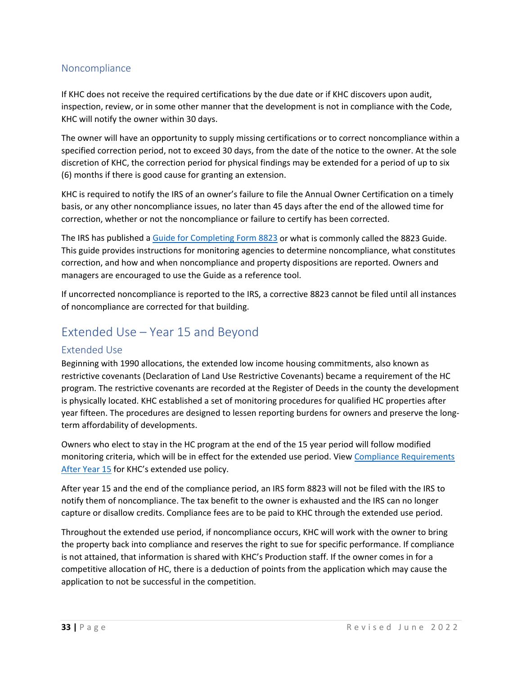#### <span id="page-32-0"></span>Noncompliance

If KHC does not receive the required certifications by the due date or if KHC discovers upon audit, inspection, review, or in some other manner that the development is not in compliance with the Code, KHC will notify the owner within 30 days.

The owner will have an opportunity to supply missing certifications or to correct noncompliance within a specified correction period, not to exceed 30 days, from the date of the notice to the owner. At the sole discretion of KHC, the correction period for physical findings may be extended for a period of up to six (6) months if there is good cause for granting an extension.

KHC is required to notify the IRS of an owner's failure to file the Annual Owner Certification on a timely basis, or any other noncompliance issues, no later than 45 days after the end of the allowed time for correction, whether or not the noncompliance or failure to certify has been corrected.

The IRS has published a [Guide for Completing Form 8823](https://www.irs.gov/pub/irs-utl/lihc-form8823guide.pdf) or what is commonly called the 8823 Guide. This guide provides instructions for monitoring agencies to determine noncompliance, what constitutes correction, and how and when noncompliance and property dispositions are reported. Owners and managers are encouraged to use the Guide as a reference tool.

If uncorrected noncompliance is reported to the IRS, a corrective 8823 cannot be filed until all instances of noncompliance are corrected for that building.

## <span id="page-32-1"></span>Extended Use – Year 15 and Beyond

#### <span id="page-32-2"></span>Extended Use

Beginning with 1990 allocations, the extended low income housing commitments, also known as restrictive covenants (Declaration of Land Use Restrictive Covenants) became a requirement of the HC program. The restrictive covenants are recorded at the Register of Deeds in the county the development is physically located. KHC established a set of monitoring procedures for qualified HC properties after year fifteen. The procedures are designed to lessen reporting burdens for owners and preserve the longterm affordability of developments.

Owners who elect to stay in the HC program at the end of the 15 year period will follow modified monitoring criteria, which will be in effect for the extended use period. View [Compliance Requirements](https://www.kyhousing.org/Partners/Inspections-and-Compliance/Compliance/Documents/ComplianceRequirementsAfterYear15.pdf)  [After Year 15](https://www.kyhousing.org/Partners/Inspections-and-Compliance/Compliance/Documents/ComplianceRequirementsAfterYear15.pdf) for KHC's extended use policy.

After year 15 and the end of the compliance period, an IRS form 8823 will not be filed with the IRS to notify them of noncompliance. The tax benefit to the owner is exhausted and the IRS can no longer capture or disallow credits. Compliance fees are to be paid to KHC through the extended use period.

Throughout the extended use period, if noncompliance occurs, KHC will work with the owner to bring the property back into compliance and reserves the right to sue for specific performance. If compliance is not attained, that information is shared with KHC's Production staff. If the owner comes in for a competitive allocation of HC, there is a deduction of points from the application which may cause the application to not be successful in the competition.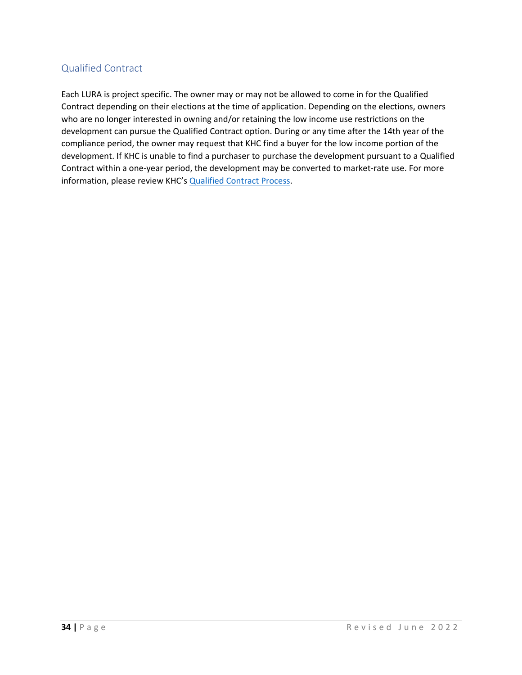#### <span id="page-33-0"></span>Qualified Contract

Each LURA is project specific. The owner may or may not be allowed to come in for the Qualified Contract depending on their elections at the time of application. Depending on the elections, owners who are no longer interested in owning and/or retaining the low income use restrictions on the development can pursue the Qualified Contract option. During or any time after the 14th year of the compliance period, the owner may request that KHC find a buyer for the low income portion of the development. If KHC is unable to find a purchaser to purchase the development pursuant to a Qualified Contract within a one-year period, the development may be converted to market-rate use. For more information, please review KHC's [Qualified Contract Process.](https://www.kyhousing.org/Partners/Developers/Multifamily/Documents/2021-2022%20Multifamily%20Guidelines.pdf#search=qualified%20contract%20process)